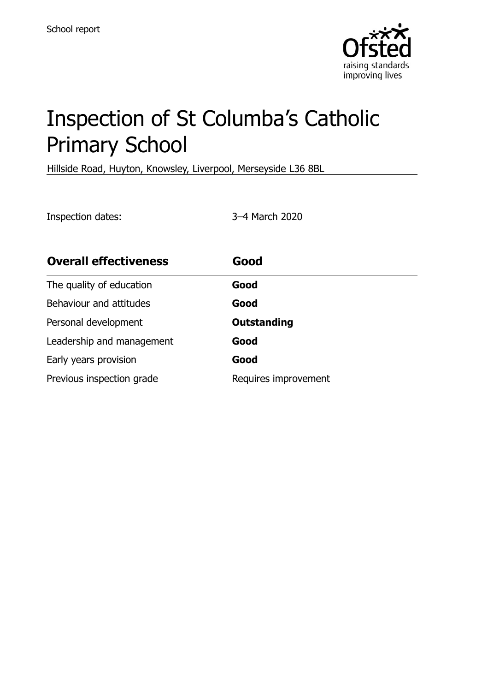

# Inspection of St Columba's Catholic Primary School

Hillside Road, Huyton, Knowsley, Liverpool, Merseyside L36 8BL

Inspection dates: 3–4 March 2020

| <b>Overall effectiveness</b> | Good                 |
|------------------------------|----------------------|
| The quality of education     | Good                 |
| Behaviour and attitudes      | Good                 |
| Personal development         | <b>Outstanding</b>   |
| Leadership and management    | Good                 |
| Early years provision        | Good                 |
| Previous inspection grade    | Requires improvement |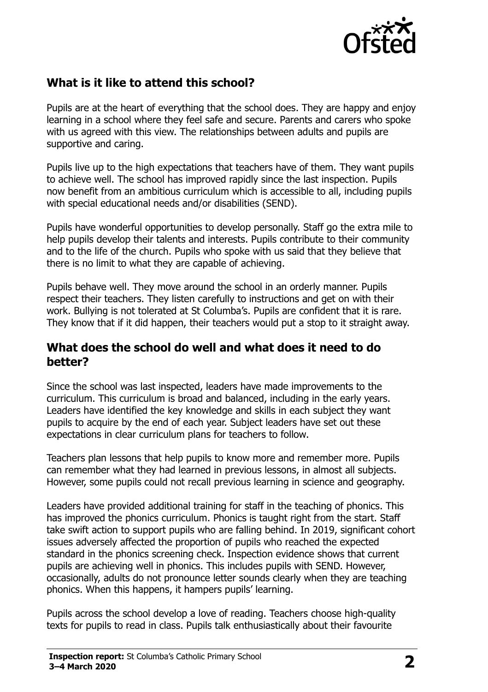

## **What is it like to attend this school?**

Pupils are at the heart of everything that the school does. They are happy and enjoy learning in a school where they feel safe and secure. Parents and carers who spoke with us agreed with this view. The relationships between adults and pupils are supportive and caring.

Pupils live up to the high expectations that teachers have of them. They want pupils to achieve well. The school has improved rapidly since the last inspection. Pupils now benefit from an ambitious curriculum which is accessible to all, including pupils with special educational needs and/or disabilities (SEND).

Pupils have wonderful opportunities to develop personally. Staff go the extra mile to help pupils develop their talents and interests. Pupils contribute to their community and to the life of the church. Pupils who spoke with us said that they believe that there is no limit to what they are capable of achieving.

Pupils behave well. They move around the school in an orderly manner. Pupils respect their teachers. They listen carefully to instructions and get on with their work. Bullying is not tolerated at St Columba's. Pupils are confident that it is rare. They know that if it did happen, their teachers would put a stop to it straight away.

#### **What does the school do well and what does it need to do better?**

Since the school was last inspected, leaders have made improvements to the curriculum. This curriculum is broad and balanced, including in the early years. Leaders have identified the key knowledge and skills in each subject they want pupils to acquire by the end of each year. Subject leaders have set out these expectations in clear curriculum plans for teachers to follow.

Teachers plan lessons that help pupils to know more and remember more. Pupils can remember what they had learned in previous lessons, in almost all subjects. However, some pupils could not recall previous learning in science and geography.

Leaders have provided additional training for staff in the teaching of phonics. This has improved the phonics curriculum. Phonics is taught right from the start. Staff take swift action to support pupils who are falling behind. In 2019, significant cohort issues adversely affected the proportion of pupils who reached the expected standard in the phonics screening check. Inspection evidence shows that current pupils are achieving well in phonics. This includes pupils with SEND. However, occasionally, adults do not pronounce letter sounds clearly when they are teaching phonics. When this happens, it hampers pupils' learning.

Pupils across the school develop a love of reading. Teachers choose high-quality texts for pupils to read in class. Pupils talk enthusiastically about their favourite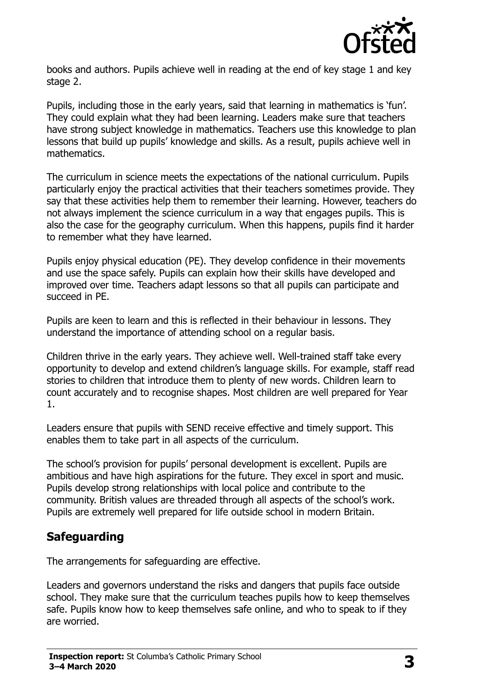

books and authors. Pupils achieve well in reading at the end of key stage 1 and key stage 2.

Pupils, including those in the early years, said that learning in mathematics is 'fun'. They could explain what they had been learning. Leaders make sure that teachers have strong subject knowledge in mathematics. Teachers use this knowledge to plan lessons that build up pupils' knowledge and skills. As a result, pupils achieve well in mathematics.

The curriculum in science meets the expectations of the national curriculum. Pupils particularly enjoy the practical activities that their teachers sometimes provide. They say that these activities help them to remember their learning. However, teachers do not always implement the science curriculum in a way that engages pupils. This is also the case for the geography curriculum. When this happens, pupils find it harder to remember what they have learned.

Pupils enjoy physical education (PE). They develop confidence in their movements and use the space safely. Pupils can explain how their skills have developed and improved over time. Teachers adapt lessons so that all pupils can participate and succeed in PE.

Pupils are keen to learn and this is reflected in their behaviour in lessons. They understand the importance of attending school on a regular basis.

Children thrive in the early years. They achieve well. Well-trained staff take every opportunity to develop and extend children's language skills. For example, staff read stories to children that introduce them to plenty of new words. Children learn to count accurately and to recognise shapes. Most children are well prepared for Year 1.

Leaders ensure that pupils with SEND receive effective and timely support. This enables them to take part in all aspects of the curriculum.

The school's provision for pupils' personal development is excellent. Pupils are ambitious and have high aspirations for the future. They excel in sport and music. Pupils develop strong relationships with local police and contribute to the community. British values are threaded through all aspects of the school's work. Pupils are extremely well prepared for life outside school in modern Britain.

### **Safeguarding**

The arrangements for safeguarding are effective.

Leaders and governors understand the risks and dangers that pupils face outside school. They make sure that the curriculum teaches pupils how to keep themselves safe. Pupils know how to keep themselves safe online, and who to speak to if they are worried.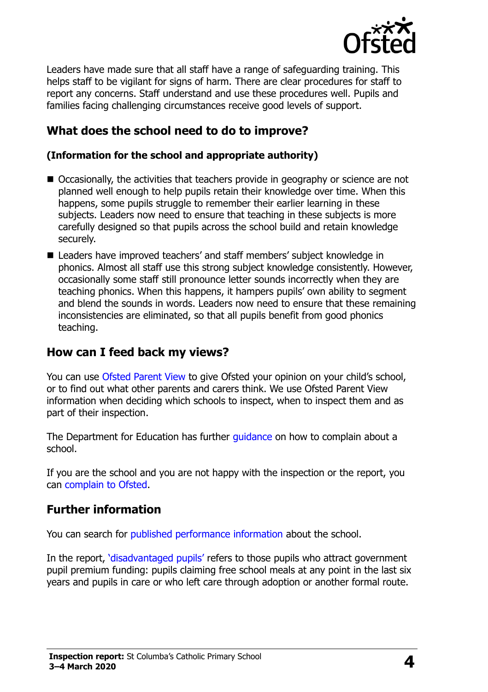

Leaders have made sure that all staff have a range of safeguarding training. This helps staff to be vigilant for signs of harm. There are clear procedures for staff to report any concerns. Staff understand and use these procedures well. Pupils and families facing challenging circumstances receive good levels of support.

# **What does the school need to do to improve?**

#### **(Information for the school and appropriate authority)**

- Occasionally, the activities that teachers provide in geography or science are not planned well enough to help pupils retain their knowledge over time. When this happens, some pupils struggle to remember their earlier learning in these subjects. Leaders now need to ensure that teaching in these subjects is more carefully designed so that pupils across the school build and retain knowledge securely.
- Leaders have improved teachers' and staff members' subject knowledge in phonics. Almost all staff use this strong subject knowledge consistently. However, occasionally some staff still pronounce letter sounds incorrectly when they are teaching phonics. When this happens, it hampers pupils' own ability to segment and blend the sounds in words. Leaders now need to ensure that these remaining inconsistencies are eliminated, so that all pupils benefit from good phonics teaching.

### **How can I feed back my views?**

You can use [Ofsted Parent View](http://parentview.ofsted.gov.uk/) to give Ofsted your opinion on your child's school, or to find out what other parents and carers think. We use Ofsted Parent View information when deciding which schools to inspect, when to inspect them and as part of their inspection.

The Department for Education has further quidance on how to complain about a school.

If you are the school and you are not happy with the inspection or the report, you can [complain to Ofsted.](http://www.gov.uk/complain-ofsted-report)

# **Further information**

You can search for [published performance information](http://www.compare-school-performance.service.gov.uk/) about the school.

In the report, '[disadvantaged pupils](http://www.gov.uk/guidance/pupil-premium-information-for-schools-and-alternative-provision-settings)' refers to those pupils who attract government pupil premium funding: pupils claiming free school meals at any point in the last six years and pupils in care or who left care through adoption or another formal route.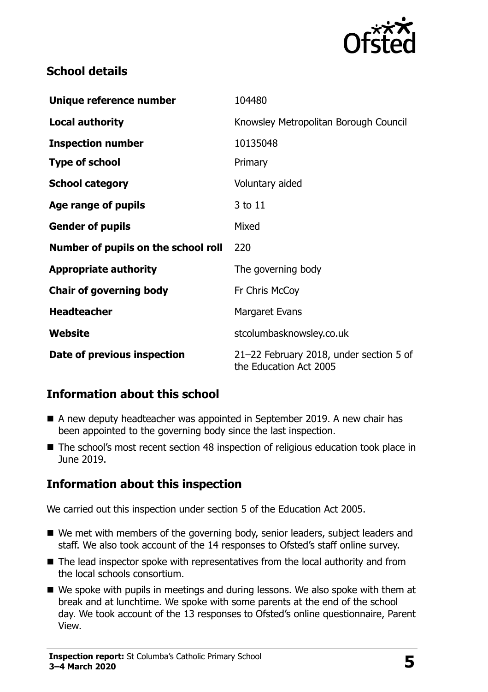

## **School details**

| Unique reference number             | 104480                                                            |
|-------------------------------------|-------------------------------------------------------------------|
| <b>Local authority</b>              | Knowsley Metropolitan Borough Council                             |
| <b>Inspection number</b>            | 10135048                                                          |
| <b>Type of school</b>               | Primary                                                           |
| <b>School category</b>              | Voluntary aided                                                   |
| Age range of pupils                 | 3 to 11                                                           |
| <b>Gender of pupils</b>             | Mixed                                                             |
| Number of pupils on the school roll | 220                                                               |
| <b>Appropriate authority</b>        | The governing body                                                |
| <b>Chair of governing body</b>      | Fr Chris McCoy                                                    |
| <b>Headteacher</b>                  | Margaret Evans                                                    |
| Website                             | stcolumbasknowsley.co.uk                                          |
| Date of previous inspection         | 21-22 February 2018, under section 5 of<br>the Education Act 2005 |

# **Information about this school**

- A new deputy headteacher was appointed in September 2019. A new chair has been appointed to the governing body since the last inspection.
- The school's most recent section 48 inspection of religious education took place in June 2019.

### **Information about this inspection**

We carried out this inspection under section 5 of the Education Act 2005.

- We met with members of the governing body, senior leaders, subject leaders and staff. We also took account of the 14 responses to Ofsted's staff online survey.
- The lead inspector spoke with representatives from the local authority and from the local schools consortium.
- We spoke with pupils in meetings and during lessons. We also spoke with them at break and at lunchtime. We spoke with some parents at the end of the school day. We took account of the 13 responses to Ofsted's online questionnaire, Parent View.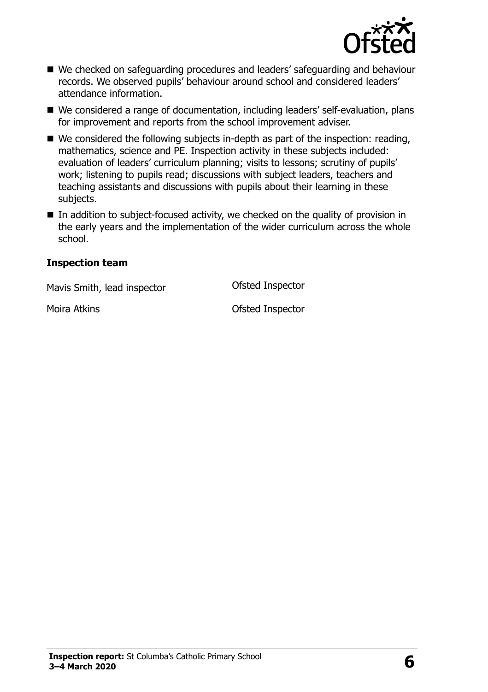

- We checked on safeguarding procedures and leaders' safeguarding and behaviour records. We observed pupils' behaviour around school and considered leaders' attendance information.
- We considered a range of documentation, including leaders' self-evaluation, plans for improvement and reports from the school improvement adviser.
- $\blacksquare$  We considered the following subjects in-depth as part of the inspection: reading, mathematics, science and PE. Inspection activity in these subjects included: evaluation of leaders' curriculum planning; visits to lessons; scrutiny of pupils' work; listening to pupils read; discussions with subject leaders, teachers and teaching assistants and discussions with pupils about their learning in these subjects.
- $\blacksquare$  In addition to subject-focused activity, we checked on the quality of provision in the early years and the implementation of the wider curriculum across the whole school.

#### **Inspection team**

Mavis Smith, lead inspector **Conservation Conservation** Ofsted Inspector

Moira Atkins Ofsted Inspector